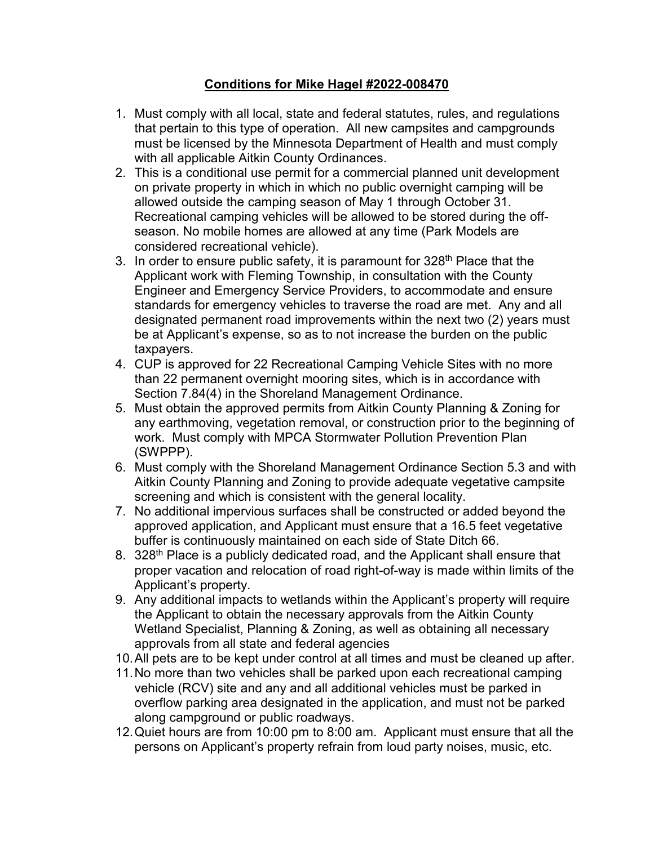## **Conditions for Mike Hagel #2022-008470**

- 1. Must comply with all local, state and federal statutes, rules, and regulations that pertain to this type of operation. All new campsites and campgrounds must be licensed by the Minnesota Department of Health and must comply with all applicable Aitkin County Ordinances.
- 2. This is a conditional use permit for a commercial planned unit development on private property in which in which no public overnight camping will be allowed outside the camping season of May 1 through October 31. Recreational camping vehicles will be allowed to be stored during the offseason. No mobile homes are allowed at any time (Park Models are considered recreational vehicle).
- 3. In order to ensure public safety, it is paramount for  $328<sup>th</sup>$  Place that the Applicant work with Fleming Township, in consultation with the County Engineer and Emergency Service Providers, to accommodate and ensure standards for emergency vehicles to traverse the road are met. Any and all designated permanent road improvements within the next two (2) years must be at Applicant's expense, so as to not increase the burden on the public taxpayers.
- 4. CUP is approved for 22 Recreational Camping Vehicle Sites with no more than 22 permanent overnight mooring sites, which is in accordance with Section 7.84(4) in the Shoreland Management Ordinance.
- 5. Must obtain the approved permits from Aitkin County Planning & Zoning for any earthmoving, vegetation removal, or construction prior to the beginning of work. Must comply with MPCA Stormwater Pollution Prevention Plan (SWPPP).
- 6. Must comply with the Shoreland Management Ordinance Section 5.3 and with Aitkin County Planning and Zoning to provide adequate vegetative campsite screening and which is consistent with the general locality.
- 7. No additional impervious surfaces shall be constructed or added beyond the approved application, and Applicant must ensure that a 16.5 feet vegetative buffer is continuously maintained on each side of State Ditch 66.
- 8. 328<sup>th</sup> Place is a publicly dedicated road, and the Applicant shall ensure that proper vacation and relocation of road right-of-way is made within limits of the Applicant's property.
- 9. Any additional impacts to wetlands within the Applicant's property will require the Applicant to obtain the necessary approvals from the Aitkin County Wetland Specialist, Planning & Zoning, as well as obtaining all necessary approvals from all state and federal agencies
- 10.All pets are to be kept under control at all times and must be cleaned up after.
- 11.No more than two vehicles shall be parked upon each recreational camping vehicle (RCV) site and any and all additional vehicles must be parked in overflow parking area designated in the application, and must not be parked along campground or public roadways.
- 12.Quiet hours are from 10:00 pm to 8:00 am. Applicant must ensure that all the persons on Applicant's property refrain from loud party noises, music, etc.